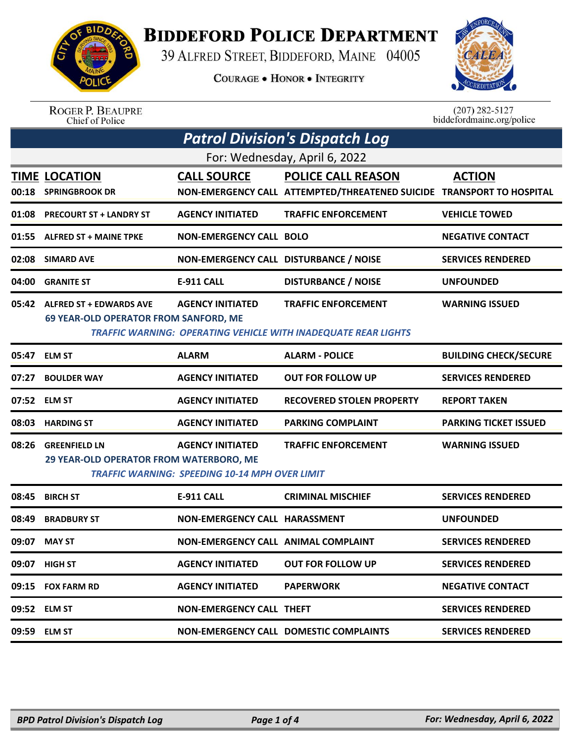

## **BIDDEFORD POLICE DEPARTMENT**

39 ALFRED STREET, BIDDEFORD, MAINE 04005

**COURAGE . HONOR . INTEGRITY** 



ROGER P. BEAUPRE<br>Chief of Police

 $(207)$  282-5127<br>biddefordmaine.org/police

| <b>TIME LOCATION</b><br><b>SPRINGBROOK DR</b> | <b>CALL SOURCE</b>      | For: Wednesday, April 6, 2022                                                           |                                                                                                                                                                                                                                                                                                                                                                        |
|-----------------------------------------------|-------------------------|-----------------------------------------------------------------------------------------|------------------------------------------------------------------------------------------------------------------------------------------------------------------------------------------------------------------------------------------------------------------------------------------------------------------------------------------------------------------------|
|                                               |                         |                                                                                         |                                                                                                                                                                                                                                                                                                                                                                        |
|                                               |                         | <b>POLICE CALL REASON</b>                                                               | <b>ACTION</b>                                                                                                                                                                                                                                                                                                                                                          |
|                                               |                         | NON-EMERGENCY CALL ATTEMPTED/THREATENED SUICIDE TRANSPORT TO HOSPITAL                   |                                                                                                                                                                                                                                                                                                                                                                        |
| <b>PRECOURT ST + LANDRY ST</b>                | <b>AGENCY INITIATED</b> | <b>TRAFFIC ENFORCEMENT</b>                                                              | <b>VEHICLE TOWED</b>                                                                                                                                                                                                                                                                                                                                                   |
| <b>ALFRED ST + MAINE TPKE</b>                 |                         |                                                                                         | <b>NEGATIVE CONTACT</b>                                                                                                                                                                                                                                                                                                                                                |
| <b>SIMARD AVE</b>                             |                         |                                                                                         | <b>SERVICES RENDERED</b>                                                                                                                                                                                                                                                                                                                                               |
| <b>GRANITE ST</b>                             | <b>E-911 CALL</b>       | <b>DISTURBANCE / NOISE</b>                                                              | <b>UNFOUNDED</b>                                                                                                                                                                                                                                                                                                                                                       |
| <b>ALFRED ST + EDWARDS AVE</b>                | <b>AGENCY INITIATED</b> | <b>TRAFFIC ENFORCEMENT</b>                                                              | <b>WARNING ISSUED</b>                                                                                                                                                                                                                                                                                                                                                  |
|                                               |                         |                                                                                         |                                                                                                                                                                                                                                                                                                                                                                        |
| <b>ELM ST</b>                                 | <b>ALARM</b>            | <b>ALARM - POLICE</b>                                                                   | <b>BUILDING CHECK/SECURE</b>                                                                                                                                                                                                                                                                                                                                           |
| <b>BOULDER WAY</b>                            | <b>AGENCY INITIATED</b> | <b>OUT FOR FOLLOW UP</b>                                                                | <b>SERVICES RENDERED</b>                                                                                                                                                                                                                                                                                                                                               |
| <b>ELM ST</b>                                 | <b>AGENCY INITIATED</b> | <b>RECOVERED STOLEN PROPERTY</b>                                                        | <b>REPORT TAKEN</b>                                                                                                                                                                                                                                                                                                                                                    |
| <b>HARDING ST</b>                             | <b>AGENCY INITIATED</b> | <b>PARKING COMPLAINT</b>                                                                | <b>PARKING TICKET ISSUED</b>                                                                                                                                                                                                                                                                                                                                           |
| <b>GREENFIELD LN</b>                          | <b>AGENCY INITIATED</b> | <b>TRAFFIC ENFORCEMENT</b>                                                              | <b>WARNING ISSUED</b>                                                                                                                                                                                                                                                                                                                                                  |
|                                               |                         |                                                                                         |                                                                                                                                                                                                                                                                                                                                                                        |
| <b>BIRCH ST</b>                               | <b>E-911 CALL</b>       | <b>CRIMINAL MISCHIEF</b>                                                                | <b>SERVICES RENDERED</b>                                                                                                                                                                                                                                                                                                                                               |
| <b>BRADBURY ST</b>                            |                         |                                                                                         | <b>UNFOUNDED</b>                                                                                                                                                                                                                                                                                                                                                       |
| <b>MAY ST</b>                                 |                         |                                                                                         | <b>SERVICES RENDERED</b>                                                                                                                                                                                                                                                                                                                                               |
| 09:07 HIGH ST                                 | <b>AGENCY INITIATED</b> | <b>OUT FOR FOLLOW UP</b>                                                                | <b>SERVICES RENDERED</b>                                                                                                                                                                                                                                                                                                                                               |
| 09:15 FOX FARM RD                             | <b>AGENCY INITIATED</b> | <b>PAPERWORK</b>                                                                        | <b>NEGATIVE CONTACT</b>                                                                                                                                                                                                                                                                                                                                                |
| 09:52 ELM ST                                  |                         |                                                                                         | <b>SERVICES RENDERED</b>                                                                                                                                                                                                                                                                                                                                               |
| <b>ELM ST</b>                                 |                         |                                                                                         | <b>SERVICES RENDERED</b>                                                                                                                                                                                                                                                                                                                                               |
|                                               |                         | <b>69 YEAR-OLD OPERATOR FROM SANFORD, ME</b><br>29 YEAR-OLD OPERATOR FROM WATERBORO, ME | <b>NON-EMERGENCY CALL BOLO</b><br>NON-EMERGENCY CALL DISTURBANCE / NOISE<br><b>TRAFFIC WARNING: OPERATING VEHICLE WITH INADEQUATE REAR LIGHTS</b><br><b>TRAFFIC WARNING: SPEEDING 10-14 MPH OVER LIMIT</b><br>NON-EMERGENCY CALL HARASSMENT<br>NON-EMERGENCY CALL ANIMAL COMPLAINT<br><b>NON-EMERGENCY CALL THEFT</b><br><b>NON-EMERGENCY CALL DOMESTIC COMPLAINTS</b> |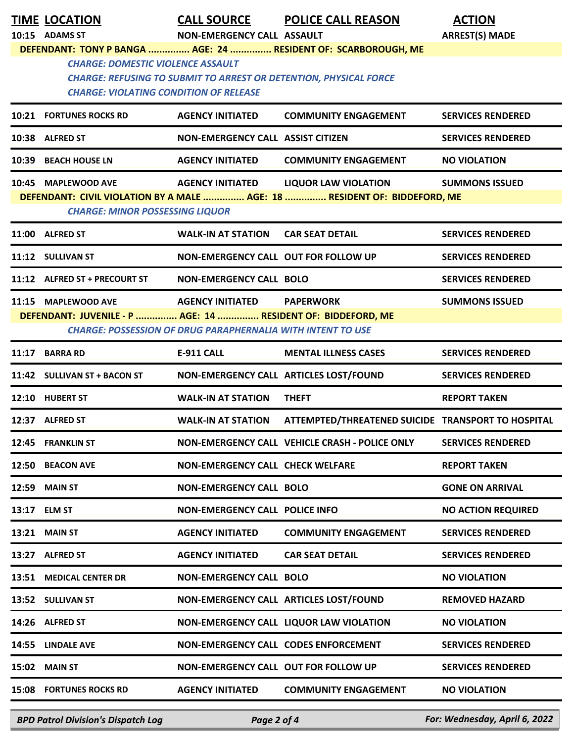|       | <b>TIME LOCATION</b>                                                                      | <b>CALL SOURCE</b>                                                                               | <b>POLICE CALL REASON</b>                                                                                                                  | <b>ACTION</b>             |
|-------|-------------------------------------------------------------------------------------------|--------------------------------------------------------------------------------------------------|--------------------------------------------------------------------------------------------------------------------------------------------|---------------------------|
|       | 10:15 ADAMS ST                                                                            | NON-EMERGENCY CALL ASSAULT                                                                       |                                                                                                                                            | <b>ARREST(S) MADE</b>     |
|       | <b>CHARGE: DOMESTIC VIOLENCE ASSAULT</b><br><b>CHARGE: VIOLATING CONDITION OF RELEASE</b> |                                                                                                  | DEFENDANT: TONY P BANGA  AGE: 24  RESIDENT OF: SCARBOROUGH, ME<br><b>CHARGE: REFUSING TO SUBMIT TO ARREST OR DETENTION, PHYSICAL FORCE</b> |                           |
|       | <b>10:21 FORTUNES ROCKS RD</b>                                                            | <b>AGENCY INITIATED</b>                                                                          | <b>COMMUNITY ENGAGEMENT</b>                                                                                                                | <b>SERVICES RENDERED</b>  |
|       | 10:38 ALFRED ST                                                                           | NON-EMERGENCY CALL ASSIST CITIZEN                                                                |                                                                                                                                            | <b>SERVICES RENDERED</b>  |
|       | 10:39 BEACH HOUSE LN                                                                      | <b>AGENCY INITIATED</b>                                                                          | <b>COMMUNITY ENGAGEMENT</b>                                                                                                                | <b>NO VIOLATION</b>       |
|       | 10:45 MAPLEWOOD AVE<br><b>CHARGE: MINOR POSSESSING LIQUOR</b>                             | <b>AGENCY INITIATED</b>                                                                          | <b>LIQUOR LAW VIOLATION</b><br>DEFENDANT: CIVIL VIOLATION BY A MALE  AGE: 18  RESIDENT OF: BIDDEFORD, ME                                   | <b>SUMMONS ISSUED</b>     |
|       | 11:00 ALFRED ST                                                                           | <b>WALK-IN AT STATION</b>                                                                        | <b>CAR SEAT DETAIL</b>                                                                                                                     | <b>SERVICES RENDERED</b>  |
|       | 11:12 SULLIVAN ST                                                                         | NON-EMERGENCY CALL OUT FOR FOLLOW UP                                                             |                                                                                                                                            | <b>SERVICES RENDERED</b>  |
|       | 11:12 ALFRED ST + PRECOURT ST                                                             | <b>NON-EMERGENCY CALL BOLO</b>                                                                   |                                                                                                                                            | <b>SERVICES RENDERED</b>  |
|       | 11:15 MAPLEWOOD AVE<br>DEFENDANT: JUVENILE - P  AGE: 14  RESIDENT OF: BIDDEFORD, ME       | AGENCY INITIATED PAPERWORK<br><b>CHARGE: POSSESSION OF DRUG PARAPHERNALIA WITH INTENT TO USE</b> |                                                                                                                                            | <b>SUMMONS ISSUED</b>     |
| 11:17 | <b>BARRA RD</b>                                                                           | <b>E-911 CALL</b>                                                                                | <b>MENTAL ILLNESS CASES</b>                                                                                                                | <b>SERVICES RENDERED</b>  |
|       | 11:42 SULLIVAN ST + BACON ST                                                              | NON-EMERGENCY CALL ARTICLES LOST/FOUND                                                           |                                                                                                                                            | <b>SERVICES RENDERED</b>  |
| 12:10 | <b>HUBERT ST</b>                                                                          | <b>WALK-IN AT STATION</b>                                                                        | <b>THEFT</b>                                                                                                                               | <b>REPORT TAKEN</b>       |
|       | 12:37 ALFRED ST                                                                           | <b>WALK-IN AT STATION</b>                                                                        | ATTEMPTED/THREATENED SUICIDE TRANSPORT TO HOSPITAL                                                                                         |                           |
|       | 12:45 FRANKLIN ST                                                                         |                                                                                                  | NON-EMERGENCY CALL VEHICLE CRASH - POLICE ONLY                                                                                             | <b>SERVICES RENDERED</b>  |
|       | 12:50 BEACON AVE                                                                          | <b>NON-EMERGENCY CALL CHECK WELFARE</b>                                                          |                                                                                                                                            | <b>REPORT TAKEN</b>       |
| 12:59 | <b>MAIN ST</b>                                                                            | NON-EMERGENCY CALL BOLO                                                                          |                                                                                                                                            | <b>GONE ON ARRIVAL</b>    |
| 13:17 | <b>ELM ST</b>                                                                             | <b>NON-EMERGENCY CALL POLICE INFO</b>                                                            |                                                                                                                                            | <b>NO ACTION REQUIRED</b> |
|       | <b>13:21 MAIN ST</b>                                                                      | <b>AGENCY INITIATED</b>                                                                          | <b>COMMUNITY ENGAGEMENT</b>                                                                                                                | <b>SERVICES RENDERED</b>  |
|       | 13:27 ALFRED ST                                                                           | <b>AGENCY INITIATED</b>                                                                          | <b>CAR SEAT DETAIL</b>                                                                                                                     | <b>SERVICES RENDERED</b>  |
|       | 13:51 MEDICAL CENTER DR                                                                   | <b>NON-EMERGENCY CALL BOLO</b>                                                                   |                                                                                                                                            | <b>NO VIOLATION</b>       |
|       | 13:52 SULLIVAN ST                                                                         |                                                                                                  | NON-EMERGENCY CALL ARTICLES LOST/FOUND                                                                                                     | <b>REMOVED HAZARD</b>     |
|       | 14:26 ALFRED ST                                                                           |                                                                                                  | NON-EMERGENCY CALL LIQUOR LAW VIOLATION                                                                                                    | <b>NO VIOLATION</b>       |
|       | 14:55 LINDALE AVE                                                                         | NON-EMERGENCY CALL CODES ENFORCEMENT                                                             |                                                                                                                                            | <b>SERVICES RENDERED</b>  |
|       | <b>15:02 MAIN ST</b>                                                                      | NON-EMERGENCY CALL OUT FOR FOLLOW UP                                                             |                                                                                                                                            | <b>SERVICES RENDERED</b>  |
|       | <b>15:08 FORTUNES ROCKS RD</b>                                                            | <b>AGENCY INITIATED</b>                                                                          | <b>COMMUNITY ENGAGEMENT</b>                                                                                                                | <b>NO VIOLATION</b>       |

*BPD Patrol Division's Dispatch Log Page 2 of 4 For: Wednesday, April 6, 2022*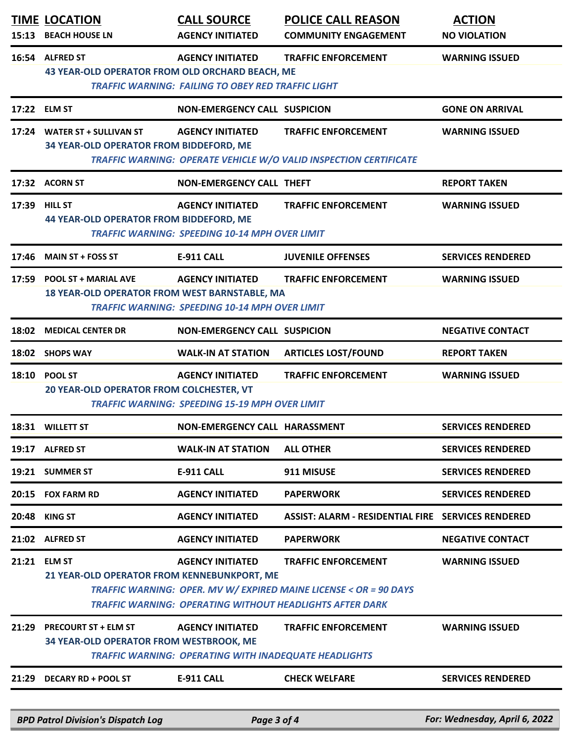| 15:13 | <b>TIME LOCATION</b><br><b>BEACH HOUSE LN</b>                               | <b>CALL SOURCE</b><br><b>AGENCY INITIATED</b>                                           | <b>POLICE CALL REASON</b><br><b>COMMUNITY ENGAGEMENT</b>                                                                                                           | <b>ACTION</b><br><b>NO VIOLATION</b> |
|-------|-----------------------------------------------------------------------------|-----------------------------------------------------------------------------------------|--------------------------------------------------------------------------------------------------------------------------------------------------------------------|--------------------------------------|
|       | 16:54 ALFRED ST<br>43 YEAR-OLD OPERATOR FROM OLD ORCHARD BEACH, ME          | <b>AGENCY INITIATED</b><br><b>TRAFFIC WARNING: FAILING TO OBEY RED TRAFFIC LIGHT</b>    | <b>TRAFFIC ENFORCEMENT</b>                                                                                                                                         | <b>WARNING ISSUED</b>                |
|       | 17:22 ELM ST                                                                | <b>NON-EMERGENCY CALL SUSPICION</b>                                                     |                                                                                                                                                                    | <b>GONE ON ARRIVAL</b>               |
|       | 17:24 WATER ST + SULLIVAN ST<br>34 YEAR-OLD OPERATOR FROM BIDDEFORD, ME     | <b>AGENCY INITIATED</b>                                                                 | <b>TRAFFIC ENFORCEMENT</b><br>TRAFFIC WARNING: OPERATE VEHICLE W/O VALID INSPECTION CERTIFICATE                                                                    | <b>WARNING ISSUED</b>                |
|       | 17:32 ACORN ST                                                              | <b>NON-EMERGENCY CALL THEFT</b>                                                         |                                                                                                                                                                    | <b>REPORT TAKEN</b>                  |
| 17:39 | <b>HILL ST</b><br><b>44 YEAR-OLD OPERATOR FROM BIDDEFORD, ME</b>            | <b>AGENCY INITIATED</b><br><b>TRAFFIC WARNING: SPEEDING 10-14 MPH OVER LIMIT</b>        | <b>TRAFFIC ENFORCEMENT</b>                                                                                                                                         | <b>WARNING ISSUED</b>                |
| 17:46 | <b>MAIN ST + FOSS ST</b>                                                    | <b>E-911 CALL</b>                                                                       | <b>JUVENILE OFFENSES</b>                                                                                                                                           | <b>SERVICES RENDERED</b>             |
|       | 17:59 POOL ST + MARIAL AVE<br>18 YEAR-OLD OPERATOR FROM WEST BARNSTABLE, MA | <b>AGENCY INITIATED</b><br><b>TRAFFIC WARNING: SPEEDING 10-14 MPH OVER LIMIT</b>        | <b>TRAFFIC ENFORCEMENT</b>                                                                                                                                         | <b>WARNING ISSUED</b>                |
| 18:02 | <b>MEDICAL CENTER DR</b>                                                    | <b>NON-EMERGENCY CALL SUSPICION</b>                                                     |                                                                                                                                                                    | <b>NEGATIVE CONTACT</b>              |
|       | 18:02 SHOPS WAY                                                             | <b>WALK-IN AT STATION</b>                                                               | <b>ARTICLES LOST/FOUND</b>                                                                                                                                         | <b>REPORT TAKEN</b>                  |
|       | 18:10 POOL ST<br>20 YEAR-OLD OPERATOR FROM COLCHESTER, VT                   | <b>AGENCY INITIATED</b><br><b>TRAFFIC WARNING: SPEEDING 15-19 MPH OVER LIMIT</b>        | <b>TRAFFIC ENFORCEMENT</b>                                                                                                                                         | <b>WARNING ISSUED</b>                |
| 18:31 | <b>WILLETT ST</b>                                                           | NON-EMERGENCY CALL HARASSMENT                                                           |                                                                                                                                                                    | <b>SERVICES RENDERED</b>             |
|       | 19:17 ALFRED ST                                                             | <b>WALK-IN AT STATION</b>                                                               | <b>ALL OTHER</b>                                                                                                                                                   | <b>SERVICES RENDERED</b>             |
|       | 19:21 SUMMER ST                                                             | <b>E-911 CALL</b>                                                                       | 911 MISUSE                                                                                                                                                         | <b>SERVICES RENDERED</b>             |
| 20:15 | <b>FOX FARM RD</b>                                                          | <b>AGENCY INITIATED</b>                                                                 | <b>PAPERWORK</b>                                                                                                                                                   | <b>SERVICES RENDERED</b>             |
| 20:48 | <b>KING ST</b>                                                              | <b>AGENCY INITIATED</b>                                                                 | ASSIST: ALARM - RESIDENTIAL FIRE SERVICES RENDERED                                                                                                                 |                                      |
|       | 21:02 ALFRED ST                                                             | <b>AGENCY INITIATED</b>                                                                 | <b>PAPERWORK</b>                                                                                                                                                   | <b>NEGATIVE CONTACT</b>              |
| 21:21 | <b>ELM ST</b><br>21 YEAR-OLD OPERATOR FROM KENNEBUNKPORT, ME                | <b>AGENCY INITIATED</b>                                                                 | <b>TRAFFIC ENFORCEMENT</b><br>TRAFFIC WARNING: OPER. MV W/ EXPIRED MAINE LICENSE < OR = 90 DAYS<br><b>TRAFFIC WARNING: OPERATING WITHOUT HEADLIGHTS AFTER DARK</b> | <b>WARNING ISSUED</b>                |
| 21:29 | <b>PRECOURT ST + ELM ST</b><br>34 YEAR-OLD OPERATOR FROM WESTBROOK, ME      | <b>AGENCY INITIATED</b><br><b>TRAFFIC WARNING: OPERATING WITH INADEQUATE HEADLIGHTS</b> | <b>TRAFFIC ENFORCEMENT</b>                                                                                                                                         | <b>WARNING ISSUED</b>                |
| 21:29 | <b>DECARY RD + POOL ST</b>                                                  | <b>E-911 CALL</b>                                                                       | <b>CHECK WELFARE</b>                                                                                                                                               | <b>SERVICES RENDERED</b>             |
|       | <b>BPD Patrol Division's Dispatch Log</b>                                   | Page 3 of 4                                                                             |                                                                                                                                                                    | For: Wednesday, April 6, 2022        |